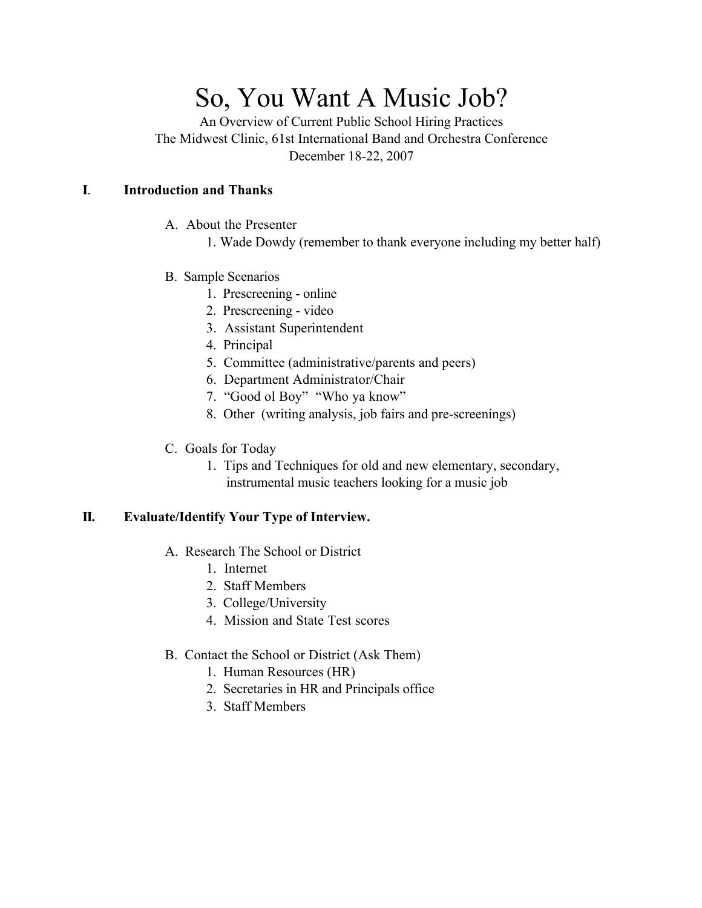# So, You Want A Music Job?

An Overview of Current Public School Hiring Practices The Midwest Clinic, 61st International Band and Orchestra Conference December 18-22, 2007

## **I**. **Introduction and Thanks**

- A. About the Presenter
	- 1. Wade Dowdy (remember to thank everyone including my better half)
- B. Sample Scenarios
	- 1. Prescreening online
	- 2. Prescreening video
	- 3. Assistant Superintendent
	- 4. Principal
	- 5. Committee (administrative/parents and peers)
	- 6. Department Administrator/Chair
	- 7. "Good ol Boy" "Who ya know"
	- 8. Other (writing analysis, job fairs and pre-screenings)
- C. Goals for Today
	- 1. Tips and Techniques for old and new elementary, secondary, instrumental music teachers looking for a music job

# **II. Evaluate/Identify Your Type of Interview.**

- A. Research The School or District
	- 1. Internet
	- 2. Staff Members
	- 3. College/University
	- 4. Mission and State Test scores
- B. Contact the School or District (Ask Them)
	- 1. Human Resources (HR)
	- 2. Secretaries in HR and Principals office
	- 3. Staff Members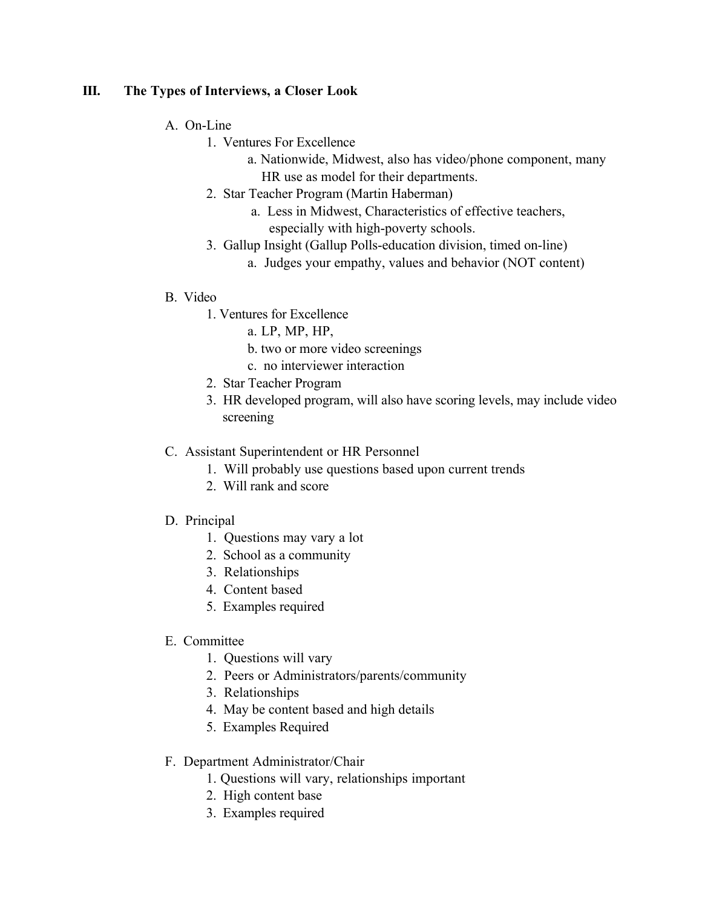## **III. The Types of Interviews, a Closer Look**

#### A. On-Line

- 1. Ventures For Excellence
	- a. Nationwide, Midwest, also has video/phone component, many HR use as model for their departments.
- 2. Star Teacher Program (Martin Haberman)
	- a. Less in Midwest, Characteristics of effective teachers, especially with high-poverty schools.
- 3. Gallup Insight (Gallup Polls-education division, timed on-line)
	- a. Judges your empathy, values and behavior (NOT content)

## B. Video

- 1. Ventures for Excellence
	- a. LP, MP, HP,
	- b. two or more video screenings
	- c. no interviewer interaction
- 2. Star Teacher Program
- 3. HR developed program, will also have scoring levels, may include video screening

## C. Assistant Superintendent or HR Personnel

- 1. Will probably use questions based upon current trends
- 2. Will rank and score

## D. Principal

- 1. Questions may vary a lot
- 2. School as a community
- 3. Relationships
- 4. Content based
- 5. Examples required
- E. Committee
	- 1. Questions will vary
	- 2. Peers or Administrators/parents/community
	- 3. Relationships
	- 4. May be content based and high details
	- 5. Examples Required

# F. Department Administrator/Chair

- 1. Questions will vary, relationships important
- 2. High content base
- 3. Examples required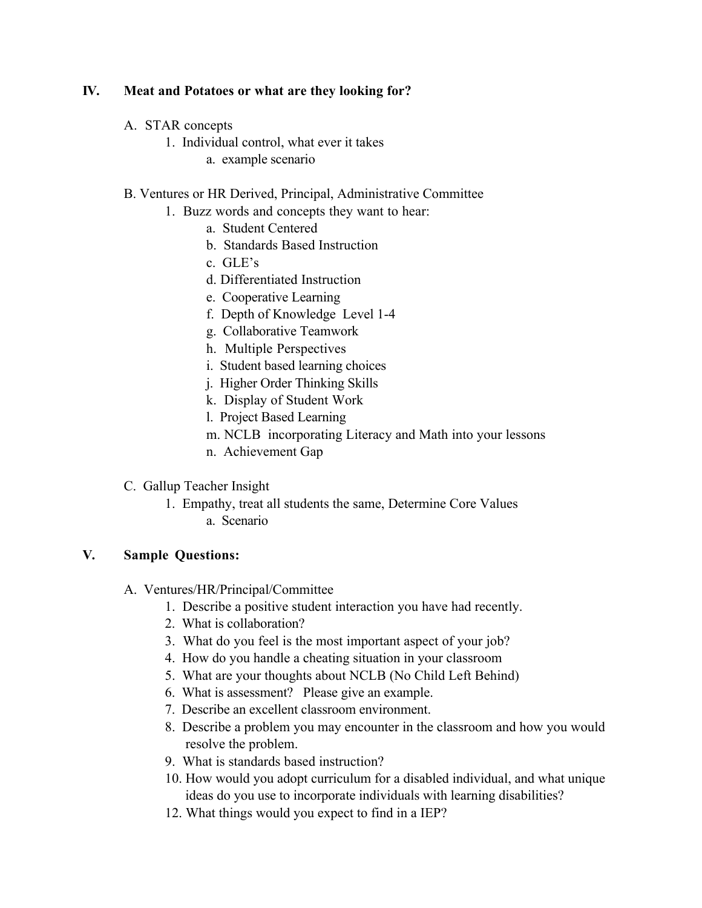## **IV. Meat and Potatoes or what are they looking for?**

- A. STAR concepts
	- 1. Individual control, what ever it takes
		- a. example scenario
- B. Ventures or HR Derived, Principal, Administrative Committee
	- 1. Buzz words and concepts they want to hear:
		- a. Student Centered
		- b. Standards Based Instruction
		- c. GLE's
		- d. Differentiated Instruction
		- e. Cooperative Learning
		- f. Depth of Knowledge Level 1-4
		- g. Collaborative Teamwork
		- h. Multiple Perspectives
		- i. Student based learning choices
		- j. Higher Order Thinking Skills
		- k. Display of Student Work
		- l. Project Based Learning
		- m. NCLB incorporating Literacy and Math into your lessons
		- n. Achievement Gap

# C. Gallup Teacher Insight

- 1. Empathy, treat all students the same, Determine Core Values
	- a. Scenario

## **V. Sample Questions:**

- A. Ventures/HR/Principal/Committee
	- 1. Describe a positive student interaction you have had recently.
	- 2. What is collaboration?
	- 3. What do you feel is the most important aspect of your job?
	- 4. How do you handle a cheating situation in your classroom
	- 5. What are your thoughts about NCLB (No Child Left Behind)
	- 6. What is assessment? Please give an example.
	- 7. Describe an excellent classroom environment.
	- 8. Describe a problem you may encounter in the classroom and how you would resolve the problem.
	- 9. What is standards based instruction?
	- 10. How would you adopt curriculum for a disabled individual, and what unique ideas do you use to incorporate individuals with learning disabilities?
	- 12. What things would you expect to find in a IEP?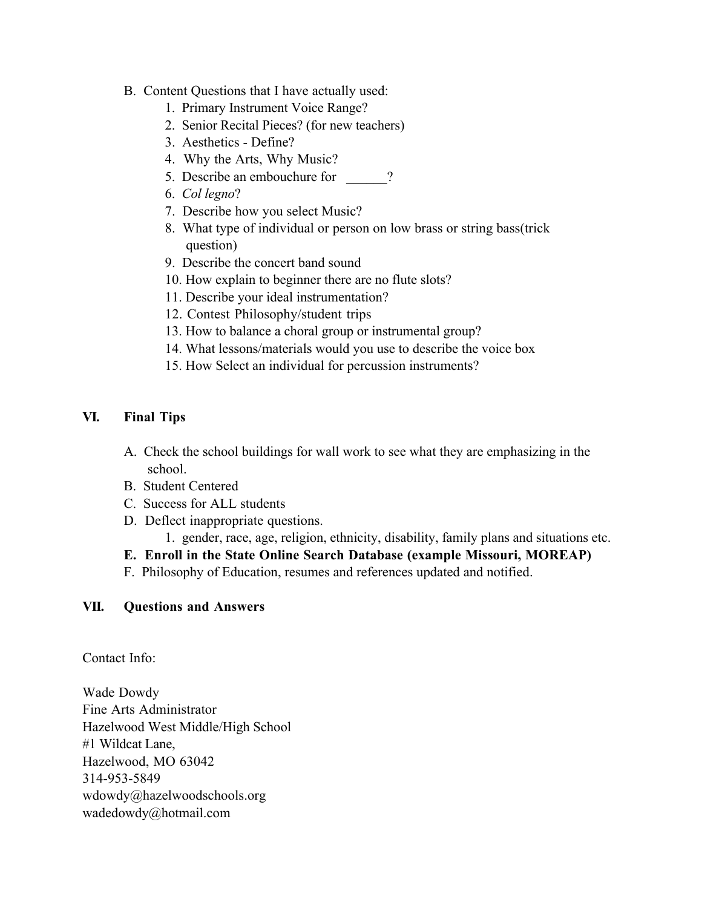- B. Content Questions that I have actually used:
	- 1. Primary Instrument Voice Range?
	- 2. Senior Recital Pieces? (for new teachers)
	- 3. Aesthetics Define?
	- 4. Why the Arts, Why Music?
	- 5. Describe an embouchure for  $\qquad$  ?
	- 6. *Col legno*?
	- 7. Describe how you select Music?
	- 8. What type of individual or person on low brass or string bass(trick question)
	- 9. Describe the concert band sound
	- 10. How explain to beginner there are no flute slots?
	- 11. Describe your ideal instrumentation?
	- 12. Contest Philosophy/student trips
	- 13. How to balance a choral group or instrumental group?
	- 14. What lessons/materials would you use to describe the voice box
	- 15. How Select an individual for percussion instruments?

## **VI. Final Tips**

- A. Check the school buildings for wall work to see what they are emphasizing in the school.
- B. Student Centered
- C. Success for ALL students
- D. Deflect inappropriate questions.
	- 1. gender, race, age, religion, ethnicity, disability, family plans and situations etc.
- **E. Enroll in the State Online Search Database (example Missouri, MOREAP)**
- F. Philosophy of Education, resumes and references updated and notified.

## **VII. Questions and Answers**

Contact Info:

Wade Dowdy Fine Arts Administrator Hazelwood West Middle/High School #1 Wildcat Lane, Hazelwood, MO 63042 314-953-5849 wdowdy@hazelwoodschools.org wadedowdy@hotmail.com